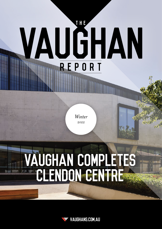# **THE** VAUĞHAN REPORT

*Winter 2022*

## Vaughan Completes CLENDON CENTRE

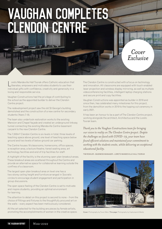## Vaughan Completes Clendon Centre

**Marina** 

Loreto Mandeville Hall Toorak offers Catholic education that liberates, empowers and motivates students to use their individual gifts with confidence, creativity and generosity in a loving and responsible service.

Vaughan Constructions had the privilege of contributing to the school as the appointed builder to deliver the Clendon Centre project.

The redevelopment project saw the old St George's building demolished and the construction of a new centre for secondary students (Years 7–9).

The team also undertook restoration works to the existing Mansion and Chapel façade and created an underground linkway tunnel connecting the existing Mandeville Centre basement carpark to the new Clendon Centre.

The 7,500m² Clendon Centre is six levels in total; three levels of teaching space above ground, one level of teaching space below ground and two levels of below-ground car parking.

The Centre houses 18 classrooms, homerooms, office spaces, a reception area, a lecture theatre, tiered seating area, art technology facilities and end of trip facilities for staff.

A highlight of the facility is the stunning open-plan breakout areas. These breakout areas are scattered throughout the Centre and provide an alternative space for collaborative learning outside the confines of a classroom.

The largest open-plan breakout area on level one has a two-storey ceiling height and furniture arranged in Socratic circles to encourage student engagement and participation in group discussions.

The open space feeling of the Clendon Centre is set to motivate and inspire students, providing an optimal environment for learning.

The attention to detail on this project is second to none – from the choice of fittings and fixtures to the thoughtfully procured art on the walls – every aspect has been meticulously considered.

All the art selected for the building are pieces by female artists, promoting the accomplishments of women in the creative space. Cover: Photography by Trevor Mein. This page: Photography by Capturepoint Media

The Clendon Centre is constructed with a focus on technology and innovation. All classrooms are equipped with touch-enabled laser projection and wireless display mirroring, as well as multiple videoconferencing facilities, intelligent laptop charging stations and secure print and copy facilities.

Cover

Exclusive

Vaughan Constructions was appointed as builder in 2018 and since then, has celebrated many milestones for this project, from the demolition works in 2019 to the topping out ceremony in early 2021.

It has been an honour to be a part of The Clendon Centre project, working alongside the architect, Architectus and the Loreto Toorak team.

*Thank you to the Vaughan Constructions team for bringing our vision to reality on The Clendon Centre project. Despite the challenges we faced with COVID-19, your team have found efficient solutions and maintained your commitment to working with the students onsite, whilst delivering an exceptional educational facility.*

TIM ROWLER – BUSINESS MANAGER – LORETO MANDEVILLE HALL TOORAK

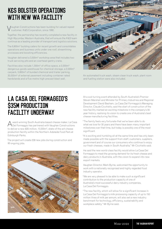## **KES BOLSTER OPERATIONS** WITH NEW WA FACILITY

**J** aughan Constructions has been building for valued repeat customer, K&S Corporation, since 1992.

Together, the partnership has recently completed a new facility in High Wycombe, Western Australia, that will ensure the K&S team continue as a leading provider of transport and logistics solutions.

The 6,800m² building caters for recent growth and consolidates operations and business units under one roof, streamlining processes and boosting efficiencies.

Vaughan delivered a 3,500m² workshop area that includes two truck servicing pits and an overhead gantry crane.

Facilities also include 1,300m² of office space, a 2,000m² dangerous goods warehouse for chemical storage, a 2,000m² carpark, 3,800m² of bunded chemical and trailer parking, 30,000m² of external pavement including container rated hardstands and a five-metre-high precast blast wall.



An automated truck wash, steam clean truck wash, plant room and fuelling station were also included.

#### LA CASA DEL FORMAGGIO'S S35m production **FACILITY UNDERWAY**

Award-winning South Australia-based cheese maker, La Casa Del Formaggio has partnered with Vaughan Constructions to deliver a new \$35 million, 10,000m², state-of-the-art cheese production facility within the Northern Adelaide Food Park at Edinburgh Parks.

The project will create 208 new jobs during construction and 90 ongoing jobs.



At a sod-turning event attended by South Australia's Premier Steven Marshall and Minister for Primary Industries and Regional Development David Basham, La Casa Del Formaggio's Managing Director, Claude Cicchiello, said the start of construction of the new facility marked an exciting milestone in the company's 30 year history, realising its vision to create one of Australia's best cheese manufacturing facilities.

"The family feels very fortunate that we've been able to do what we love for 30 years and there have been many important milestones over that time, but today is possibly one of the most significant.

"It is exciting and humbling all at the same time and has only been made possible with the support from staff, customers, suppliers, government and of course our consumers who continue to enjoy our fresh cheeses, made in South Australia," Mr Cicchiello said.

He said the new world-class facility would allow La Casa Del Formaggio to meet the growing demand for its fresh cheese and dairy products in Australia, with the vision to expand into new export markets.

Vaughan Director, Mark Byrne, welcomed the opportunity to work with a nationally recognised and highly regarded food industry operator.

"We are very pleased to be able to make such a significant contribution to the production capacity of one of Australia's most successful dairy industry companies, La Casa Del Formaggio.

"The new facility, which will allow for a significant increase in La Casa Del Formaggio's milk processing capacity of up to 150 million litres of milk per annum, will also set a new industry benchmark for technology, efficiency, sustainability and workplace safety," Mr Byrne said.